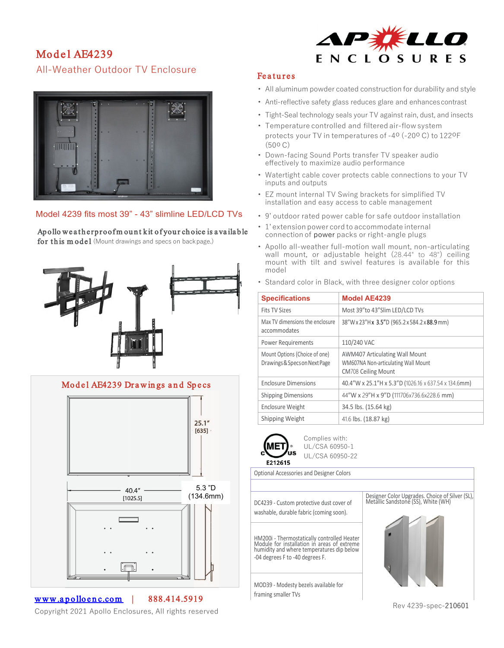# Model AF4239 All-Weather Outdoor TV Enclosure



### Model 4239 fits most 39" - 43" slimline LED/LCD TVs

## Apollo weatherproofmount kit of your choice is a vailable

for this model (Mount drawings and specs on backpage.)





www.apolloenc.com | 888.414.5919

 $\overline{a}$ 

Copyright 2021 Apollo Enclosures, All rights reserved



#### **Features**

- All aluminum powder coated construction for durability and style
- Anti-reflective safety glass reduces glare and enhances contrast
- Tight-Seal technology seals your TV against rain, dust, and insects
- Temperature controlled and filtered air-flowsystem protects your TV in temperatures of -4o (-20o C) to 122oF (50o C)
- Down-facing Sound Ports transfer TV speaker audio effectively to maximize audio performance
- Watertight cable cover protects cable connections to your TV inputs and outputs
- EZ mount internal TV Swing brackets for simplified TV installation and easy access to cable management
- 9' outdoor rated power cable for safe outdoor installation
- 1' extension power cord to accommodate internal connection of power packs or right-angle plugs
- Apollo all-weather full-motion wall mount, non-articulating wall mount, or adjustable height (28.44" to 48") ceiling mount with tilt and swivel features is available for this model
- Standard color in Black, with three designer color options

| <b>Specifications</b>                                          | <b>Model AE4239</b>                                                                                        |
|----------------------------------------------------------------|------------------------------------------------------------------------------------------------------------|
| <b>Fits TV Sizes</b>                                           | Most 39"to 43"Slim LED/LCD TVs                                                                             |
| Max TV dimensions the enclosure<br>accommodates                | 38"Wx23"Hx 3.5"D (965.2x584.2x88.9mm)                                                                      |
| <b>Power Requirements</b>                                      | 110/240 VAC                                                                                                |
| Mount Options (Choice of one)<br>Drawings & Specs on Next Page | <b>AWM407 Articulating Wall Mount</b><br>WM607NA Non-articulating Wall Mount<br><b>CM708 Ceiling Mount</b> |
| <b>Enclosure Dimensions</b>                                    | 40.4"W x 25.1"H x 5.3"D (1026.16 x 637.54 x 134.6mm)                                                       |
| <b>Shipping Dimensions</b>                                     | 44"W x 29"H x 9"D (111706x736.6x228.6 mm)                                                                  |
| Enclosure Weight                                               | 34.5 lbs. (15.64 kg)                                                                                       |
| Shipping Weight                                                | 41.6 lbs. (18.87 kg)                                                                                       |



Complies with: UL/CSA 60950-1 UL/CSA 60950-22

Optional Accessories and Designer Colors

DC4239 - Custom protective dust cover of washable, durable fabric (coming soon).

HM200i - Thermostatically controlled Heater Module for installation in areas of extreme humidity and where temperatures dip below -04 degrees F to -40 degrees F.

MOD39 - Modesty bezels available for framing smaller TVs





Rev 4239-spec-210601